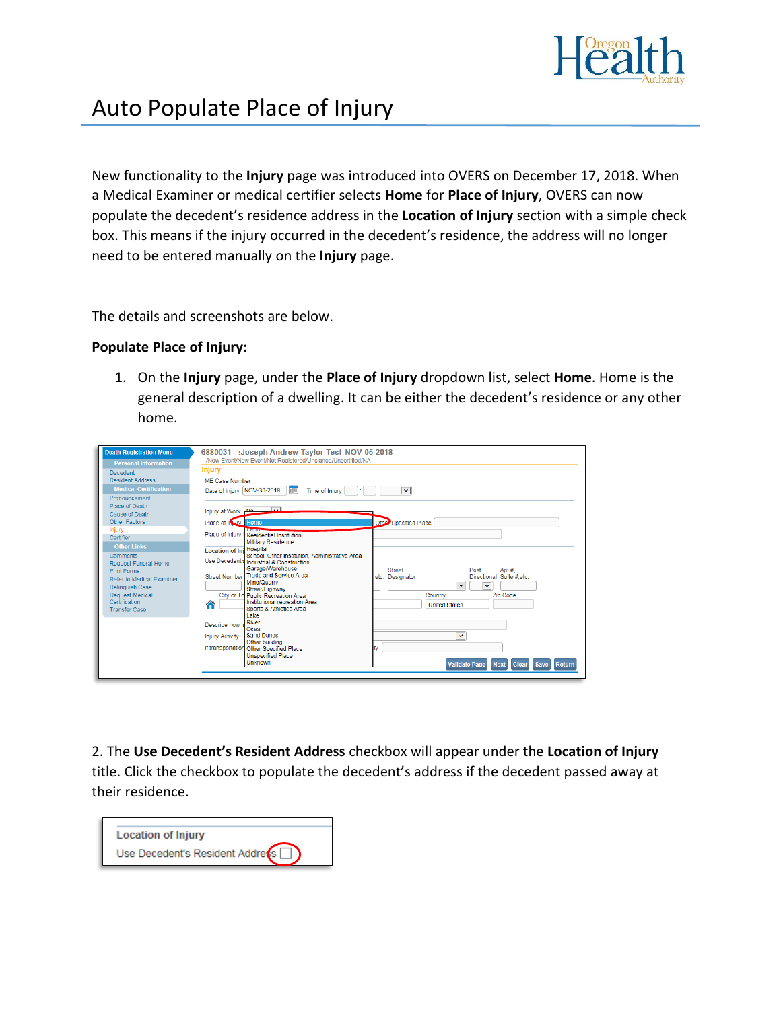

## Auto Populate Place of Injury

New functionality to the **Injury** page was introduced into OVERS on December 17, 2018. When a Medical Examiner or medical certifier selects **Home** for **Place of Injury**, OVERS can now populate the decedent's residence address in the **Location of Injury** section with a simple check box. This means if the injury occurred in the decedent's residence, the address will no longer need to be entered manually on the **Injury** page.

The details and screenshots are below.

## **Populate Place of Injury:**

1. On the **Injury** page, under the **Place of Injury** dropdown list, select **Home**. Home is the general description of a dwelling. It can be either the decedent's residence or any other home.

| <b>Death Registration Menu</b>                    | 6880031 :Joseph Andrew Taylor Test NOV-05-2018<br>/New Event/New Event/Not Registered/Unsigned/Uncertified/NA |
|---------------------------------------------------|---------------------------------------------------------------------------------------------------------------|
| <b>Personal Information</b>                       |                                                                                                               |
| <b>Decedent</b>                                   | <b>Injury</b>                                                                                                 |
| <b>Resident Address</b>                           | <b>ME Case Number</b>                                                                                         |
| <b>Medical Certification</b>                      | $\overline{\mathbf{v}}$<br>Date of Injury NOV-30-2018<br>TILL<br>Time of Iniury                               |
| Pronouncement                                     |                                                                                                               |
| Place of Death                                    | $\sim$<br>Injury at Work                                                                                      |
| Cause of Death                                    |                                                                                                               |
| Other Factors                                     | Other Specified Place<br>Place of Irviry Home                                                                 |
| <b>Injury</b>                                     | Place of Iniury<br>Residential Institution                                                                    |
| Certifier                                         | Military Residence                                                                                            |
| Other Links                                       | <b>Location of Ini Hospital</b>                                                                               |
| Comments                                          | School, Other Institution, Administrative Area<br>Use Decedent's Industrial & Construction                    |
| <b>Request Funeral Home</b><br><b>Print Forms</b> | Garage/Warehouse<br><b>Street</b><br>Post<br>Apt#.                                                            |
| Refer to Medical Examiner                         | <b>Trade and Service Area</b><br><b>Street Number</b><br>Directional Suite #.etc.<br>etc. Designator          |
| <b>Relinquish Case</b>                            | Mine/Quarry<br>$\bar{\phantom{a}}$<br>M                                                                       |
| <b>Request Medical</b>                            | Street/Highway<br>Zip Code<br>City or To Public Recreation Area<br>Country                                    |
| Certification                                     | Institutional recreation Area<br><mark>△</mark><br><b>United States</b>                                       |
| <b>Transfer Case</b>                              | Sports & Athletics Area                                                                                       |
|                                                   | Lake<br>River                                                                                                 |
|                                                   | Describe how i<br>Ocean                                                                                       |
|                                                   | $\checkmark$<br><b>Sand Dunes</b><br><b>Injury Activity</b>                                                   |
|                                                   | Other building                                                                                                |
|                                                   | If transportation Other Specified Place<br><b>Unspecified Place</b>                                           |
|                                                   | <b>Unknown</b><br><b>Validate Page</b><br><b>Next</b><br><b>Clear</b><br><b>Save</b><br><b>Return</b>         |
|                                                   |                                                                                                               |

2. The **Use Decedent's Resident Address** checkbox will appear under the **Location of Injury** title. Click the checkbox to populate the decedent's address if the decedent passed away at their residence.

| <b>Location of Injury</b>       |  |
|---------------------------------|--|
| Use Decedent's Resident Address |  |